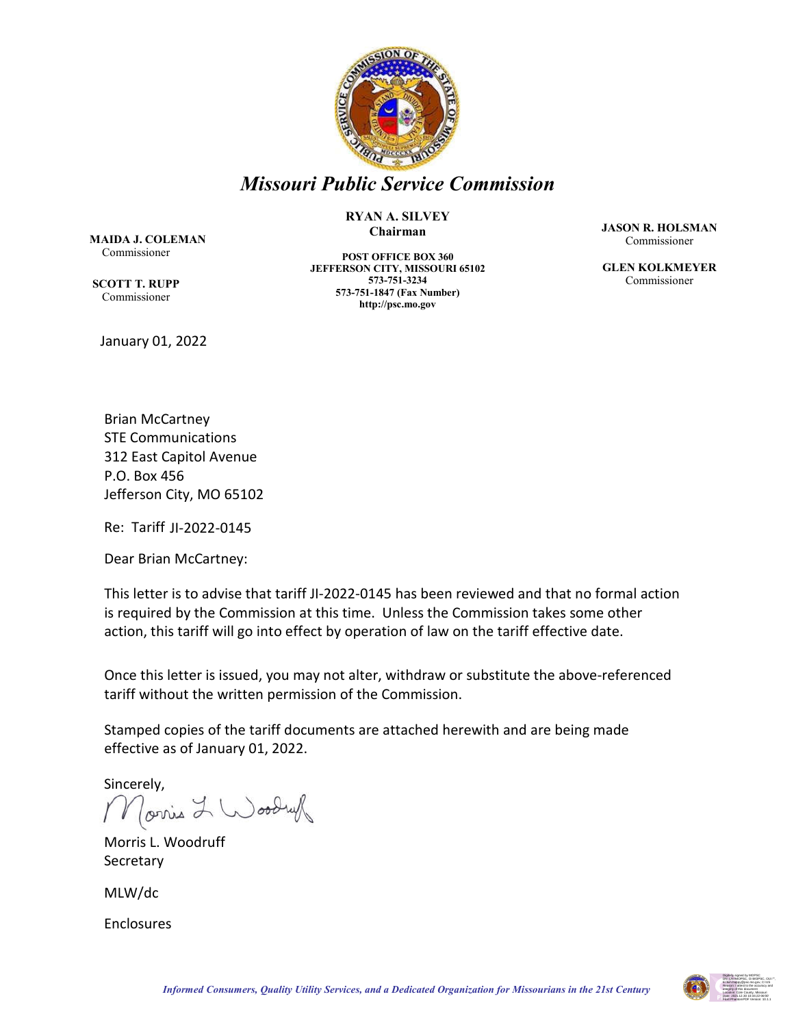

# *Missouri Public Service Commission*

#### **RYAN A. SILVEY Chairman**

 **MAIDA J. COLEMAN** Commissioner

**SCOTT T. RUPP** Commissioner

January 01, 2022

**POST OFFICE BOX 360 JEFFERSON CITY, MISSOURI 65102 573-751-3234 573-751-1847 (Fax Number) http://psc.mo.gov**

**JASON R. HOLSMAN** Commissioner

**GLEN KOLKMEYER** Commissioner

Brian McCartney STE Communications 312 East Capitol Avenue P.O. Box 456 Jefferson City, MO 65102

Re: Tariff JI-2022-0145

Dear Brian McCartney:

This letter is to advise that tariff JI-2022-0145 has been reviewed and that no formal action is required by the Commission at this time. Unless the Commission takes some other action, this tariff will go into effect by operation of law on the tariff effective date.

Once this letter is issued, you may not alter, withdraw or substitute the above-referenced tariff without the written permission of the Commission.

Stamped copies of the tariff documents are attached herewith and are being made effective as of January 01, 2022.

Sincerely, orris L Woodruf

Morris L. Woodruff Secretary

MLW/dc

Enclosures

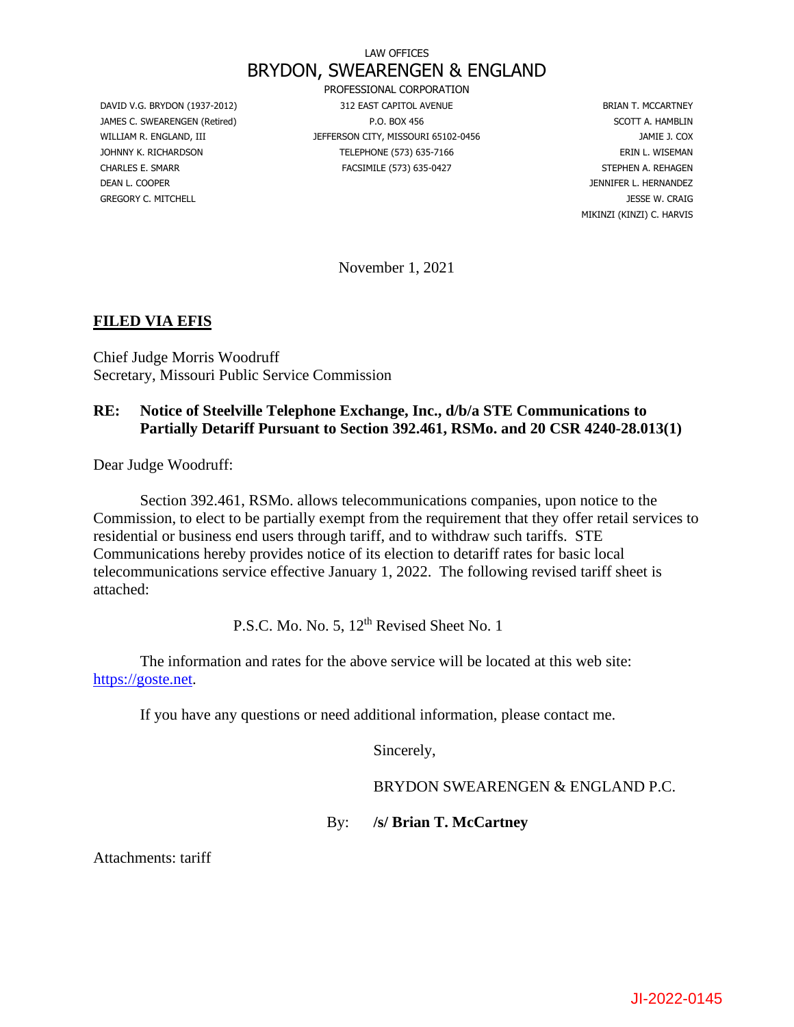# LAW OFFICES BRYDON, SWEARENGEN & ENGLAND

DEAN L. COOPER JENNIFER L. HERNANDEZ GREGORY C. MITCHELL GREGORY C. MITCHELL GREGORY C. MITCHELL GREGORY C. MITCHELL GREGORY C. MITCHELL GRAIG

PROFESSIONAL CORPORATION DAVID V.G. BRYDON (1937-2012) 312 EAST CAPITOL AVENUE AND SELLER TO BRIAN T. MCCARTNEY JAMES C. SWEARENGEN (Retired) **P.O. BOX 456** P.O. BOX 456 SCOTT A. HAMBLIN WILLIAM R. ENGLAND, III **JEFFERSON CITY, MISSOURI 65102-0456** JAMIE J. COX JOHNNY K. RICHARDSON TELEPHONE (573) 635-7166 ERIN L. WISEMAN CHARLES E. SMARR FACSIMILE (573) 635-0427 STEPHEN A. REHAGEN

MIKINZI (KINZI) C. HARVIS

November 1, 2021

### **FILED VIA EFIS**

Chief Judge Morris Woodruff Secretary, Missouri Public Service Commission

### **RE: Notice of Steelville Telephone Exchange, Inc., d/b/a STE Communications to Partially Detariff Pursuant to Section 392.461, RSMo. and 20 CSR 4240-28.013(1)**

Dear Judge Woodruff:

Section 392.461, RSMo. allows telecommunications companies, upon notice to the Commission, to elect to be partially exempt from the requirement that they offer retail services to residential or business end users through tariff, and to withdraw such tariffs. STE Communications hereby provides notice of its election to detariff rates for basic local telecommunications service effective January 1, 2022. The following revised tariff sheet is attached:

P.S.C. Mo. No. 5, 12<sup>th</sup> Revised Sheet No. 1

The information and rates for the above service will be located at this web site: [https://goste.net.](https://goste.net/)

If you have any questions or need additional information, please contact me.

Sincerely,

BRYDON SWEARENGEN & ENGLAND P.C.

By: **/s/ Brian T. McCartney**

Attachments: tariff